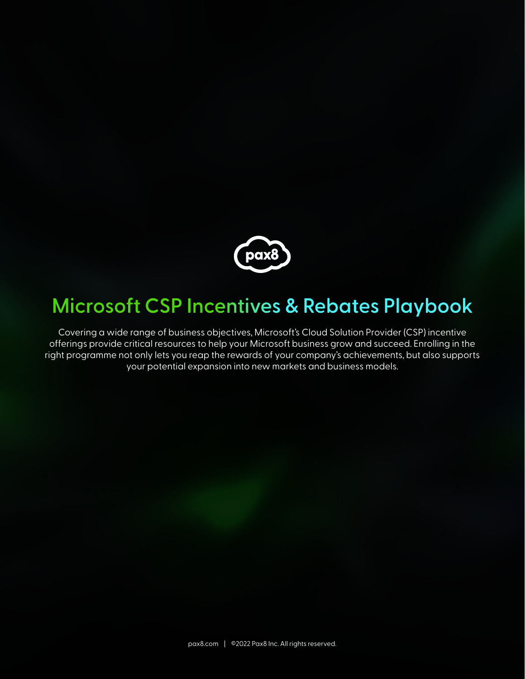

### **Microsoft CSP Incentives & Rebates Playbook**

Covering a wide range of business objectives, Microsoft's Cloud Solution Provider (CSP) incentive offerings provide critical resources to help your Microsoft business grow and succeed. Enrolling in the right programme not only lets you reap the rewards of your company's achievements, but also supports your potential expansion into new markets and business models.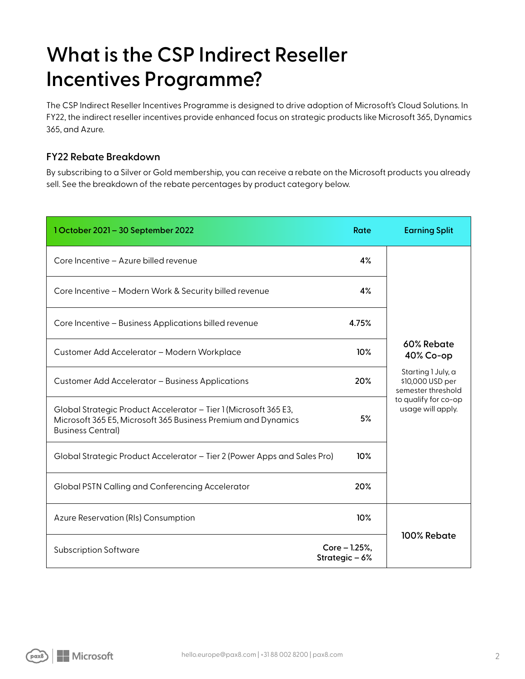# **What is the CSP Indirect Reseller Incentives Programme?**

The CSP Indirect Reseller Incentives Programme is designed to drive adoption of Microsoft's Cloud Solutions. In FY22, the indirect reseller incentives provide enhanced focus on strategic products like Microsoft 365, Dynamics 365, and Azure.

### **FY22 Rebate Breakdown**

By subscribing to a Silver or Gold membership, you can receive a rebate on the Microsoft products you already sell. See the breakdown of the rebate percentages by product category below.

| 1 October 2021 - 30 September 2022                                                                                                                            | Rate                          | <b>Earning Split</b>                                         |  |  |  |
|---------------------------------------------------------------------------------------------------------------------------------------------------------------|-------------------------------|--------------------------------------------------------------|--|--|--|
| Core Incentive - Azure billed revenue                                                                                                                         | 4%                            |                                                              |  |  |  |
| Core Incentive - Modern Work & Security billed revenue                                                                                                        | 4%                            |                                                              |  |  |  |
| Core Incentive - Business Applications billed revenue                                                                                                         | 4.75%                         |                                                              |  |  |  |
| Customer Add Accelerator - Modern Workplace                                                                                                                   | 10%                           | 60% Rebate<br>40% Co-op                                      |  |  |  |
| Customer Add Accelerator - Business Applications                                                                                                              |                               | Starting 1 July, a<br>\$10,000 USD per<br>semester threshold |  |  |  |
| Global Strategic Product Accelerator - Tier 1 (Microsoft 365 E3,<br>Microsoft 365 E5, Microsoft 365 Business Premium and Dynamics<br><b>Business Central)</b> | 5%                            | to qualify for co-op<br>usage will apply.                    |  |  |  |
| Global Strategic Product Accelerator - Tier 2 (Power Apps and Sales Pro)                                                                                      | 10%                           |                                                              |  |  |  |
| Global PSTN Calling and Conferencing Accelerator                                                                                                              | 20%                           |                                                              |  |  |  |
| Azure Reservation (RIs) Consumption                                                                                                                           | 10%                           |                                                              |  |  |  |
| <b>Subscription Software</b>                                                                                                                                  | Core - 1.25%,<br>Strategic-6% | 100% Rebate                                                  |  |  |  |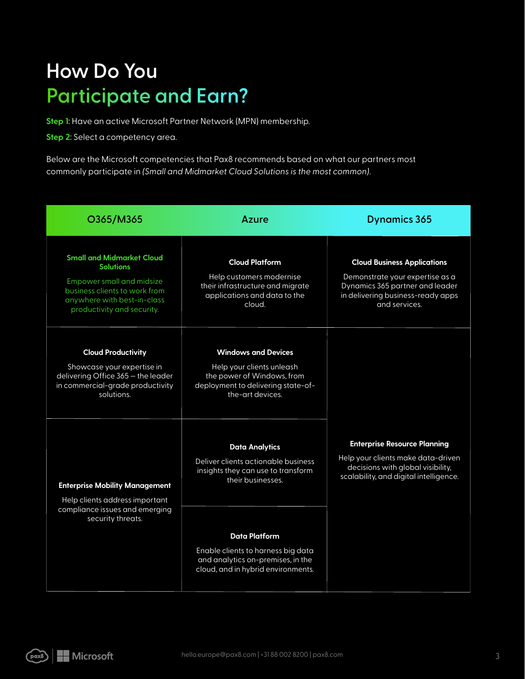# **How Do You Participate and Earn?**

**Step 1:** Have an active Microsoft Partner Network (MPN) membership.

**Step 2:** Select a competency area.

Below are the Microsoft competencies that Pax8 recommends based on what our partners most commonly participate in *(Small and Midmarket Cloud Solutions is the most common)*.

| O365/M365                                                                                                                                                                              | Azure                                                                                                                                                                                                                                                     | <b>Dynamics 365</b>                                                                                                                                            |
|----------------------------------------------------------------------------------------------------------------------------------------------------------------------------------------|-----------------------------------------------------------------------------------------------------------------------------------------------------------------------------------------------------------------------------------------------------------|----------------------------------------------------------------------------------------------------------------------------------------------------------------|
| <b>Small and Midmarket Cloud</b><br><b>Solutions</b><br><b>Empower small and midsize</b><br>business clients to work from<br>anywhere with best-in-class<br>productivity and security. | <b>Cloud Platform</b><br>Help customers modernise<br>their infrastructure and migrate<br>applications and data to the<br>cloud.                                                                                                                           | <b>Cloud Business Applications</b><br>Demonstrate your expertise as a<br>Dynamics 365 partner and leader<br>in delivering business-ready apps<br>and services. |
| <b>Cloud Productivity</b><br>Showcase your expertise in<br>delivering Office 365 - the leader<br>in commercial-grade productivity<br>solutions.                                        | <b>Windows and Devices</b><br>Help your clients unleash<br>the power of Windows, from<br>deployment to delivering state-of-<br>the-art devices.                                                                                                           |                                                                                                                                                                |
| <b>Enterprise Mobility Management</b><br>Help clients address important<br>compliance issues and emerging<br>security threats.                                                         | <b>Data Analytics</b><br>Deliver clients actionable business<br>insights they can use to transform<br>their businesses.<br>Data Platform<br>Enable clients to harness big data<br>and analytics on-premises, in the<br>cloud, and in hybrid environments. | <b>Enterprise Resource Planning</b><br>Help your clients make data-driven<br>decisions with global visibility,<br>scalability, and digital intelligence.       |

(pax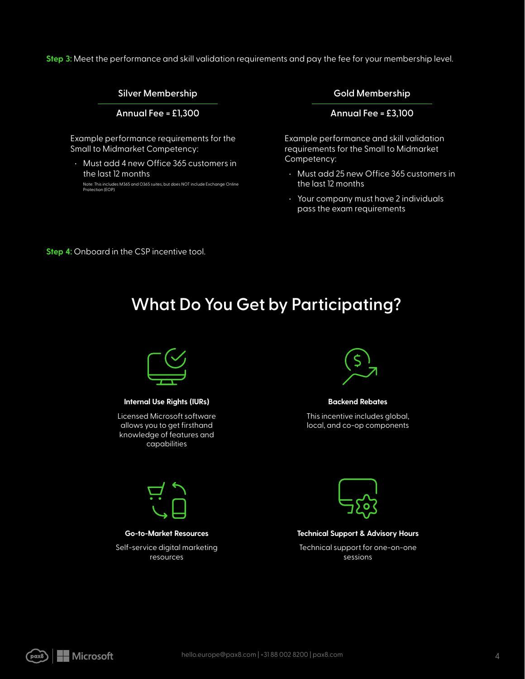**Step 3:** Meet the performance and skill validation requirements and pay the fee for your membership level.

#### **Silver Membership**

**Annual Fee = £1,300**

Example performance requirements for the Small to Midmarket Competency:

• Must add 4 new Office 365 customers in the last 12 months

Note: This includes M365 and O365 suites, but does NOT include Exchange Online Protection (EOP)

**Gold Membership**

**Annual Fee = £3,100**

Example performance and skill validation requirements for the Small to Midmarket Competency:

- Must add 25 new Office 365 customers in the last 12 months
- Your company must have 2 individuals pass the exam requirements

**Step 4:** Onboard in the CSP incentive tool.

### **What Do You Get by Participating?**



#### **Internal Use Rights (IURs)**

Licensed Microsoft software allows you to get firsthand knowledge of features and capabilities



#### **Go-to-Market Resources**

Self-service digital marketing resources



#### **Backend Rebates**

This incentive includes global, local, and co-op components



#### **Technical Support & Advisory Hours**

Technical support for one-on-one sessions

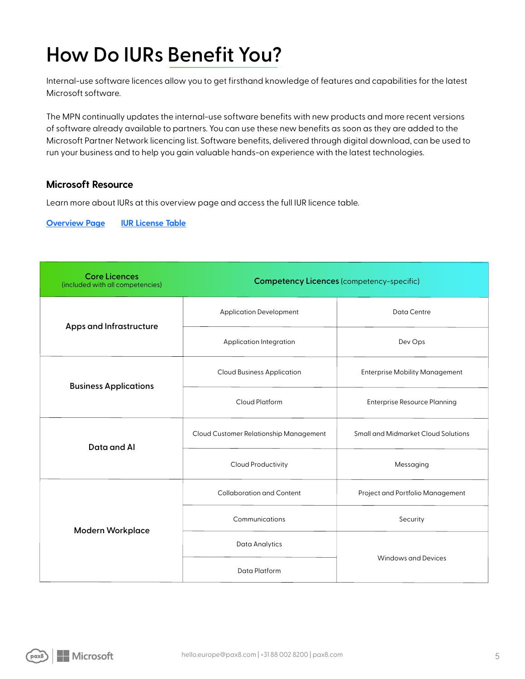# **How Do IURs Benefit You?**

Internal-use software licences allow you to get firsthand knowledge of features and capabilities for the latest Microsoft software.

The MPN continually updates the internal-use software benefits with new products and more recent versions of software already available to partners. You can use these new benefits as soon as they are added to the Microsoft Partner Network licencing list. Software benefits, delivered through digital download, can be used to run your business and to help you gain valuable hands-on experience with the latest technologies.

### **Microsoft Resource**

Learn more about IURs at this overview page and access the full IUR licence table.

**Overview Page IUR License Table**

| <b>Core Licences</b><br>(included with all competencies) | <b>Competency Licences (competency-specific)</b> |                                       |  |  |  |  |  |  |
|----------------------------------------------------------|--------------------------------------------------|---------------------------------------|--|--|--|--|--|--|
| Apps and Infrastructure                                  | <b>Application Development</b>                   | Data Centre                           |  |  |  |  |  |  |
|                                                          | Application Integration                          | Dev Ops                               |  |  |  |  |  |  |
| <b>Business Applications</b>                             | <b>Cloud Business Application</b>                | <b>Enterprise Mobility Management</b> |  |  |  |  |  |  |
|                                                          | Cloud Platform                                   | <b>Enterprise Resource Planning</b>   |  |  |  |  |  |  |
| Data and Al                                              | Cloud Customer Relationship Management           | Small and Midmarket Cloud Solutions   |  |  |  |  |  |  |
|                                                          | Cloud Productivity                               | Messaging                             |  |  |  |  |  |  |
| <b>Modern Workplace</b>                                  | Collaboration and Content                        | Project and Portfolio Management      |  |  |  |  |  |  |
|                                                          | Communications                                   | Security                              |  |  |  |  |  |  |
|                                                          | Data Analytics                                   | Windows and Devices                   |  |  |  |  |  |  |
|                                                          | Data Platform                                    |                                       |  |  |  |  |  |  |

bax8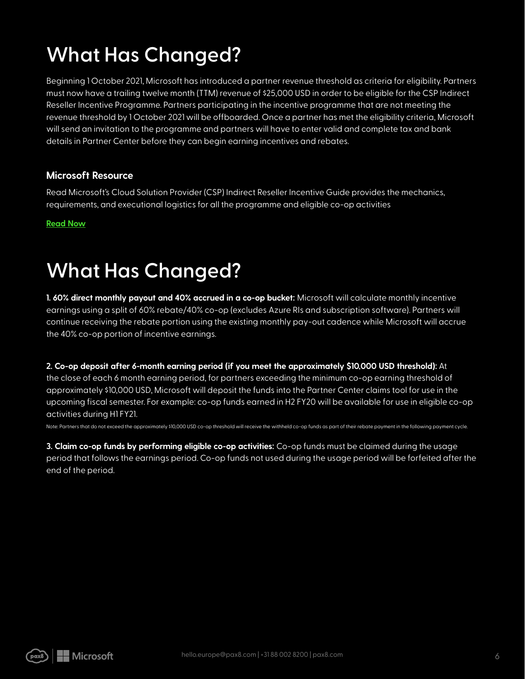# **What Has Changed?**

Beginning 1 October 2021, Microsoft has introduced a partner revenue threshold as criteria for eligibility. Partners must now have a trailing twelve month (TTM) revenue of \$25,000 USD in order to be eligible for the CSP Indirect Reseller Incentive Programme. Partners participating in the incentive programme that are not meeting the revenue threshold by 1 October 2021 will be offboarded. Once a partner has met the eligibility criteria, Microsoft will send an invitation to the programme and partners will have to enter valid and complete tax and bank details in Partner Center before they can begin earning incentives and rebates.

### **Microsoft Resource**

Read Microsoft's Cloud Solution Provider (CSP) Indirect Reseller Incentive Guide provides the mechanics, requirements, and executional logistics for all the programme and eligible co-op activities

**Read Now**

### **What Has Changed?**

**1. 60% direct monthly payout and 40% accrued in a co-op bucket:** Microsoft will calculate monthly incentive earnings using a split of 60% rebate/40% co-op (excludes Azure RIs and subscription software). Partners will continue receiving the rebate portion using the existing monthly pay-out cadence while Microsoft will accrue the 40% co-op portion of incentive earnings.

**2. Co-op deposit after 6-month earning period (if you meet the approximately \$10,000 USD threshold):** At

the close of each 6 month earning period, for partners exceeding the minimum co-op earning threshold of approximately \$10,000 USD, Microsoft will deposit the funds into the Partner Center claims tool for use in the upcoming fiscal semester. For example: co-op funds earned in H2 FY20 will be available for use in eligible co-op activities during H1 FY21.

Note: Partners that do not exceed the approximately \$10,000 USD co-op threshold will receive the withheld co-op funds as part of their rebate payment in the following payment cycle.

**3. Claim co-op funds by performing eligible co-op activities:** Co-op funds must be claimed during the usage period that follows the earnings period. Co-op funds not used during the usage period will be forfeited after the end of the period.

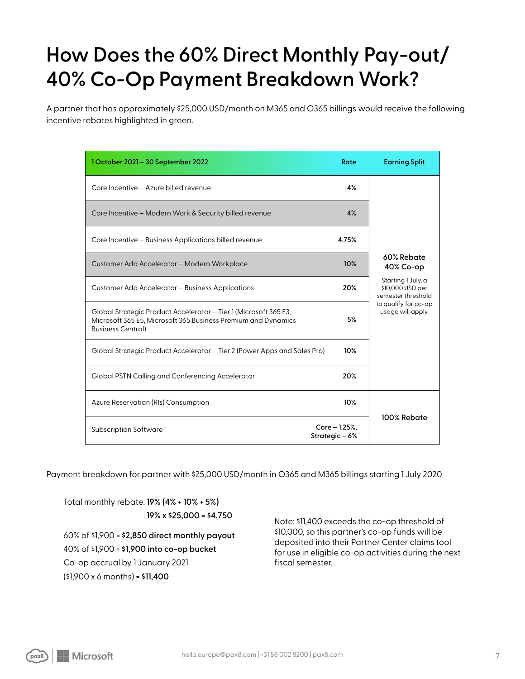# **How Does the 60% Direct Monthly Pay-out/ 40% Co-Op Payment Breakdown Work?**

A partner that has approximately \$25,000 USD/month on M365 and O365 billings would receive the following incentive rebates highlighted in green.

| 1 October 2021 - 30 September 2022                                                                                                                            | Rate                          | <b>Earning Split</b>                                         |
|---------------------------------------------------------------------------------------------------------------------------------------------------------------|-------------------------------|--------------------------------------------------------------|
| Core Incentive - Azure billed revenue                                                                                                                         | 4%                            |                                                              |
| Core Incentive - Modern Work & Security billed revenue                                                                                                        | 4%                            |                                                              |
| Core Incentive - Business Applications billed revenue                                                                                                         | 4.75%                         |                                                              |
| Customer Add Accelerator - Modern Workplace                                                                                                                   | 10%                           | 60% Rebate<br>40% Co-op                                      |
| Customer Add Accelerator – Business Applications                                                                                                              | 20%                           | Starting 1 July, a<br>\$10,000 USD per<br>semester threshold |
| Global Strategic Product Accelerator – Tier 1 (Microsoft 365 E3,<br>Microsoft 365 E5, Microsoft 365 Business Premium and Dynamics<br><b>Business Central)</b> | 5%                            | to qualify for co-op<br>usage will apply.                    |
| Global Strategic Product Accelerator – Tier 2 (Power Apps and Sales Pro)                                                                                      | 10%                           |                                                              |
| Global PSTN Calling and Conferencing Accelerator                                                                                                              | 20%                           |                                                              |
| Azure Reservation (RIs) Consumption                                                                                                                           | 10%                           |                                                              |
| <b>Subscription Software</b>                                                                                                                                  | Core - 1.25%,<br>Strategic-6% | 100% Rebate                                                  |

Payment breakdown for partner with \$25,000 USD/month in O365 and M365 billings starting 1 July 2020

Total monthly rebate: **19% (4% + 10% + 5%) 19% x \$25,000 = \$4,750**

60% of \$1,900 = **\$2,850 direct monthly payout** 40% of \$1,900 = **\$1,900 into co-op bucket** Co-op accrual by 1 January 2021 (\$1,900 x 6 months) = **\$11,400**

Note: \$11,400 exceeds the co-op threshold of \$10,000, so this partner's co-op funds will be deposited into their Partner Center claims tool for use in eligible co-op activities during the next fiscal semester.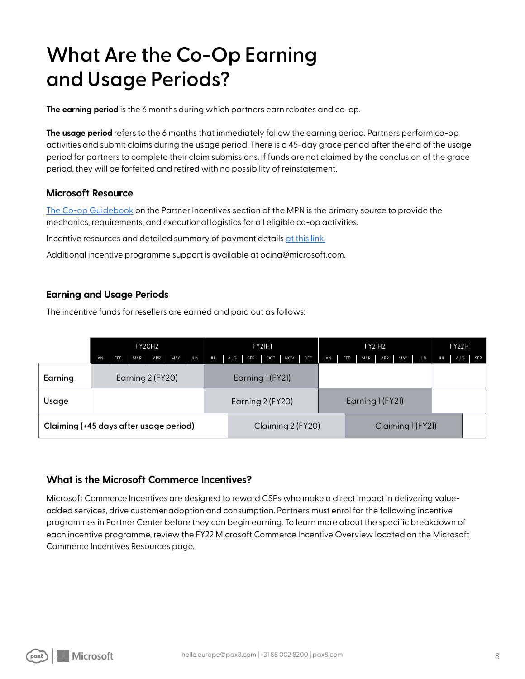# **What Are the Co-Op Earning and Usage Periods?**

**The earning period** is the 6 months during which partners earn rebates and co-op.

**The usage period** refers to the 6 months that immediately follow the earning period. Partners perform co-op activities and submit claims during the usage period. There is a 45-day grace period after the end of the usage period for partners to complete their claim submissions. If funds are not claimed by the conclusion of the grace period, they will be forfeited and retired with no possibility of reinstatement.

#### **Microsoft Resource**

The Co-op Guidebook on the Partner Incentives section of the MPN is the primary source to provide the mechanics, requirements, and executional logistics for all eligible co-op activities.

Incentive resources and detailed summary of payment details at this link.

Additional incentive programme support is available at ocina@microsoft.com.

#### **Earning and Usage Periods**

The incentive funds for resellers are earned and paid out as follows:

|                                        | <b>FY20H2</b>                                            | FY21H1           |                   |            |         | <b>FY21H2</b>     |            |            |                  |         | <b>FY22H1</b> |     |         |  |
|----------------------------------------|----------------------------------------------------------|------------------|-------------------|------------|---------|-------------------|------------|------------|------------------|---------|---------------|-----|---------|--|
|                                        | APR MAY<br><b>JUN</b><br>FEB<br><b>MAR</b><br><b>JAN</b> | JUL              | SEP<br>AUG        | <b>OCT</b> | NOV DEC | JAN               | <b>FEB</b> | <b>MAR</b> |                  | APR MAY | JUN           | JUL | AUG SEP |  |
| Earning                                | Earning 2 (FY20)                                         | Earning 1 (FY21) |                   |            |         |                   |            |            |                  |         |               |     |         |  |
| Usage                                  |                                                          | Earning 2 (FY20) |                   |            |         |                   |            |            | Earning 1 (FY21) |         |               |     |         |  |
| Claiming (+45 days after usage period) |                                                          |                  | Claiming 2 (FY20) |            |         | Claiming 1 (FY21) |            |            |                  |         |               |     |         |  |

#### **What is the Microsoft Commerce Incentives?**

Microsoft Commerce Incentives are designed to reward CSPs who make a direct impact in delivering valueadded services, drive customer adoption and consumption. Partners must enrol for the following incentive programmes in Partner Center before they can begin earning. To learn more about the specific breakdown of each incentive programme, review the FY22 Microsoft Commerce Incentive Overview located on the Microsoft Commerce Incentives Resources page.